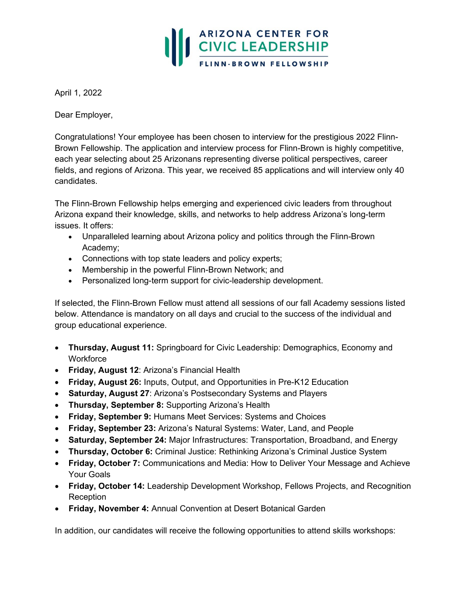

April 1, 2022

Dear Employer,

Congratulations! Your employee has been chosen to interview for the prestigious 2022 Flinn-Brown Fellowship. The application and interview process for Flinn-Brown is highly competitive, each year selecting about 25 Arizonans representing diverse political perspectives, career fields, and regions of Arizona. This year, we received 85 applications and will interview only 40 candidates.

The Flinn-Brown Fellowship helps emerging and experienced civic leaders from throughout Arizona expand their knowledge, skills, and networks to help address Arizona's long-term issues. It offers:

- Unparalleled learning about Arizona policy and politics through [the Flinn-Brown](https://flinn.org/civic-leadership/programs/flinn-brown-fellowship/flinn-brown-seminar-series/)  [Academy;](https://flinn.org/civic-leadership/programs/flinn-brown-fellowship/flinn-brown-seminar-series/)
- Connections with top state leaders and policy experts;
- Membership in the powerful Flinn-Brown Network; and
- Personalized long-term support for civic-leadership development.

If selected, the Flinn-Brown Fellow must attend all sessions of our fall Academy sessions listed below. Attendance is mandatory on all days and crucial to the success of the individual and group educational experience.

- **Thursday, August 11:** Springboard for Civic Leadership: Demographics, Economy and **Workforce**
- **Friday, August 12**: Arizona's Financial Health
- **Friday, August 26:** Inputs, Output, and Opportunities in Pre-K12 Education
- **Saturday, August 27**: Arizona's Postsecondary Systems and Players
- **Thursday, September 8:** Supporting Arizona's Health
- **Friday, September 9:** Humans Meet Services: Systems and Choices
- **Friday, September 23:** Arizona's Natural Systems: Water, Land, and People
- **Saturday, September 24:** Major Infrastructures: Transportation, Broadband, and Energy
- **Thursday, October 6:** Criminal Justice: Rethinking Arizona's Criminal Justice System
- **Friday, October 7:** Communications and Media: How to Deliver Your Message and Achieve Your Goals
- **Friday, October 14:** Leadership Development Workshop, Fellows Projects, and Recognition Reception
- **Friday, November 4:** Annual Convention at Desert Botanical Garden

In addition, our candidates will receive the following opportunities to attend skills workshops: